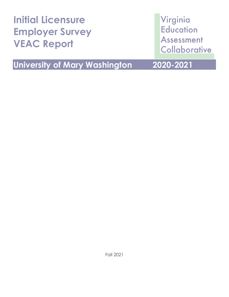| <b>Initial Licensure</b><br><b>Employer Survey</b><br><b>VEAC Report</b> | Virginia<br><b>Education</b><br><b>Assessment</b><br>Collaborative |
|--------------------------------------------------------------------------|--------------------------------------------------------------------|
| <b>University of Mary Washington</b>                                     | 2020-2021                                                          |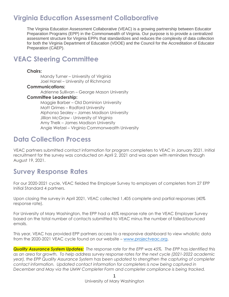## **Virginia Education Assessment Collaborative**

The Virginia Education Assessment Collaborative (VEAC) is a growing partnership between Educator Preparation Programs (EPP) in the Commonwealth of Virginia. Our purpose is to provide a centralized assessment structure for Virginia EPPs that standardizes and reduces the complexity of data collection for both the Virginia Department of Education (VDOE) and the Council for the Accreditation of Educator Preparation (CAEP).

## **VEAC Steering Committee**

### **Chairs:**

Mandy Turner – University of Virginia Joel Hanel – University of Richmond

### **Communications:**

Adrienne Sullivan – George Mason University

### **Committee Leadership:**

Maggie Barber – Old Dominion University Matt Grimes – Radford University Alphonso Sealey – James Madison University Jillian McGraw - University of Virginia Amy Thelk – James Madison University Angie Wetzel – Virginia Commonwealth University

## **Data Collection Process**

VEAC partners submitted contact information for program completers to VEAC in January 2021. Initial recruitment for the survey was conducted on April 2, 2021 and was open with reminders through August 19, 2021.

## **Survey Response Rates**

For our 2020-2021 cycle, VEAC fielded the Employer Survey to employers of completers from 27 EPP Initial Standard 4 partners.

Upon closing the survey in April 2021, VEAC collected 1,405 complete and partial responses (40% response rate).

For University of Mary Washington, the EPP had a 45% response rate on the VEAC Employer Survey based on the total number of contacts submitted to VEAC minus the number of failed/bounced emails.

This year, VEAC has provided EPP partners access to a responsive dashboard to view wholistic data from the 2020-2021 VEAC cycle found on our website – [www.projectveac.org.](http://www.projectveac.org/)

*Quality Assurance System Updates: The response rate for the EPP was 45%. The EPP has identified this as an area for growth. To help address survey response rates for the next cycle (2021-2022 academic year), the EPP Quality Assurance System has been updated to strengthen the capturing of completer contact information. Updated contact information for completers is now being captured in December and May via the UMW Completer Form and completer compliance is being tracked.*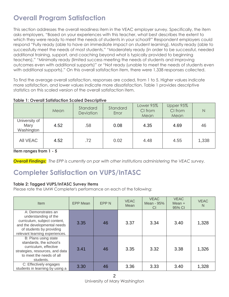# **Overall Program Satisfaction**

This section addresses the overall readiness item in the VEAC employer survey. Specifically, the item asks employers, "Based on your experiences with this teacher, what best describes the extent to which they were ready to meet the needs of students in your school?" Respondent employers could respond "Fully ready (able to have an immediate impact on student learning), Mostly ready (able to successfully meet the needs of most students," "Moderately ready (in order to be successful, needed additional training, support, and coaching beyond what is typically provided to beginning teachers)," "Minimally ready (limited success meeting the needs of students and improving outcomes even with additional supports)" or "Not ready (unable to meet the needs of students even with additional supports)." On this overall satisfaction item, there were 1,338 responses collected.

To find the average overall satisfaction, responses are coded, from 1 to 5. Higher values indicate more satisfaction, and lower values indicate more dissatisfaction. Table 1 provides descriptive statistics on this scaled version of the overall satisfaction item.

|--|

|                                     | Mean | Standard<br><b>Deviation</b> | Standard<br>Error | Lower 95%<br>CI from<br>Mean | Upper 95%<br>CI from<br>Mean | $\mathbb N$ |
|-------------------------------------|------|------------------------------|-------------------|------------------------------|------------------------------|-------------|
| University of<br>Mary<br>Washington | 4.52 | .58                          | 0.08              | 4.35                         | 4.69                         | 46          |
| AII VEAC                            | 4.52 | .72                          | 0.02              | 4.48                         | 4.55                         | 1,338       |

### **Item ranges from 1 - 5**

*Overall Findings: The EPP is currently on par with other institutions administering the VEAC survey.*

## **Completer Satisfaction on VUPS/InTASC**

### **Table 2: Tagged VUPS/InTASC Survey Items**

Please rate the UMW Completer's performance on each of the following:

| <b>Item</b>                                                                                                                                                             | <b>EPP Mean</b> | EPP <sub>N</sub> | <b>VEAC</b><br>Mean | <b>VEAC</b><br>Mean - 95%<br><b>CI</b> | <b>VEAC</b><br>Mean $+$<br>95% CI | <b>VEAC</b><br>N |
|-------------------------------------------------------------------------------------------------------------------------------------------------------------------------|-----------------|------------------|---------------------|----------------------------------------|-----------------------------------|------------------|
| A: Demonstrates an<br>understanding of the<br>curriculum, subject content,<br>and the developmental needs<br>of students by providing<br>relevant learning experiences. | 3.35            | 46               | 3.37                | 3.34                                   | 3.40                              | 1,328            |
| B: Plans using state<br>standards, the school's<br>curriculum, effective<br>strategies, resources, and data<br>to meet the needs of all<br>students.                    | 3.41            | 46               | 3.35                | 3.32                                   | 3.38                              | 1,326            |
| C: Effectively engages<br>students in learning by using a                                                                                                               | 3.30            | 46               | 3.36                | 3.33                                   | 3.40                              | 1,328            |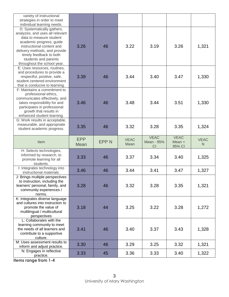| variety of instructional<br>strategies in order to meet<br>individual learning needs.                                                                                                                                                                                |                           |             |                     |                                        |                                 |                             |
|----------------------------------------------------------------------------------------------------------------------------------------------------------------------------------------------------------------------------------------------------------------------|---------------------------|-------------|---------------------|----------------------------------------|---------------------------------|-----------------------------|
| D: Systematically gathers,<br>analyzes, and uses all relevant<br>data to measure student<br>academic progress, guide<br>instructional content and<br>delivery methods, and provide<br>timely feedback to both<br>students and parents<br>throughout the school year. | 3.26                      | 46          | 3.22                | 3.19                                   | 3.26                            | 1,321                       |
| E: Uses resources, routines,<br>and procedures to provide a<br>respectful, positive, safe,<br>student centered environment<br>that is conducive to learning.                                                                                                         | 3.39                      | 46          | 3.44                | 3.40                                   | 3.47                            | 1,330                       |
| F: Maintains a commitment to<br>professional ethics,<br>communicates effectively, and<br>takes responsibility for and<br>participates in professional<br>growth that results in<br>enhanced student learning.                                                        | 3.46                      | 46          | 3.48                | 3.44                                   | 3.51                            | 1,330                       |
| G: Work results in acceptable,<br>measurable, and appropriate<br>student academic progress.                                                                                                                                                                          | 3.35                      | 46          | 3.32                | 3.28                                   | 3.35                            | 1,324                       |
|                                                                                                                                                                                                                                                                      |                           |             |                     |                                        |                                 |                             |
| Item                                                                                                                                                                                                                                                                 | <b>EPP</b><br><b>Mean</b> | <b>EPPN</b> | <b>VEAC</b><br>Mean | <b>VEAC</b><br>Mean - 95%<br><b>CI</b> | <b>VEAC</b><br>Mean +<br>95% CI | <b>VEAC</b><br>$\mathsf{N}$ |
| H: Selects technologies,<br>informed by research, to<br>promote learning for all<br>students.                                                                                                                                                                        | 3.33                      | 46          | 3.37                | 3.34                                   | 3.40                            | 1,325                       |
| I: Integrates technology into<br>instructional materials.                                                                                                                                                                                                            | 3.46                      | 46          | 3.44                | 3.41                                   | 3.47                            | 1,327                       |
| J: Brings multiple perspectives<br>to instruction, including the<br>learners' personal, family, and<br>community experiences /<br>norms.                                                                                                                             | 3.28                      | 46          | 3.32                | 3.28                                   | 3.35                            | 1,321                       |
| K: Integrates diverse language<br>and cultures into instruction to<br>promote the value of<br>multilingual / multicultural<br>perspectives                                                                                                                           | 3.18                      | 44          | 3.25                | 3.22                                   | 3.28                            | 1,272                       |
| L: Collaborates with the<br>learning community to meet<br>the needs of all learners and<br>contribute to a supportive<br>culture.                                                                                                                                    | 3.41                      | 46          | 3.40                | 3.37                                   | 3.43                            | 1,328                       |
| M: Uses assessment results to<br>inform and adjust practice.                                                                                                                                                                                                         | 3.30                      | 46          | 3.29                | 3.25                                   | 3.32                            | 1,321                       |

**Items range from 1-4**